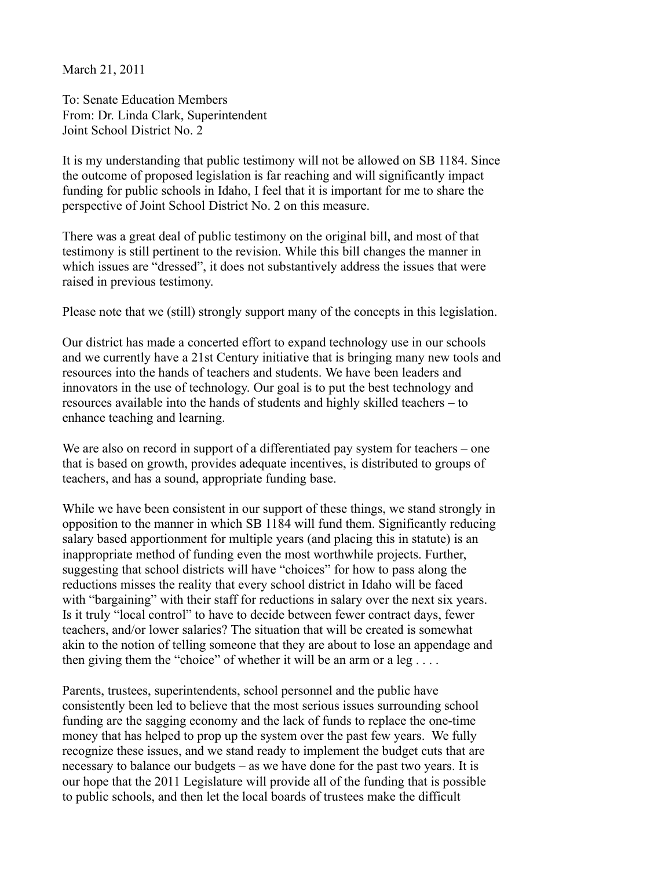March 21, 2011

To: Senate Education Members From: Dr. Linda Clark, Superintendent Joint School District No. 2

It is my understanding that public testimony will not be allowed on SB 1184. Since the outcome of proposed legislation is far reaching and will significantly impact funding for public schools in Idaho, I feel that it is important for me to share the perspective of Joint School District No. 2 on this measure.

There was a great deal of public testimony on the original bill, and most of that testimony is still pertinent to the revision. While this bill changes the manner in which issues are "dressed", it does not substantively address the issues that were raised in previous testimony.

Please note that we (still) strongly support many of the concepts in this legislation.

Our district has made a concerted effort to expand technology use in our schools and we currently have a 21st Century initiative that is bringing many new tools and resources into the hands of teachers and students. We have been leaders and innovators in the use of technology. Our goal is to put the best technology and resources available into the hands of students and highly skilled teachers – to enhance teaching and learning.

We are also on record in support of a differentiated pay system for teachers – one that is based on growth, provides adequate incentives, is distributed to groups of teachers, and has a sound, appropriate funding base.

While we have been consistent in our support of these things, we stand strongly in opposition to the manner in which SB 1184 will fund them. Significantly reducing salary based apportionment for multiple years (and placing this in statute) is an inappropriate method of funding even the most worthwhile projects. Further, suggesting that school districts will have "choices" for how to pass along the reductions misses the reality that every school district in Idaho will be faced with "bargaining" with their staff for reductions in salary over the next six years. Is it truly "local control" to have to decide between fewer contract days, fewer teachers, and/or lower salaries? The situation that will be created is somewhat akin to the notion of telling someone that they are about to lose an appendage and then giving them the "choice" of whether it will be an arm or a leg  $\dots$ .

Parents, trustees, superintendents, school personnel and the public have consistently been led to believe that the most serious issues surrounding school funding are the sagging economy and the lack of funds to replace the one-time money that has helped to prop up the system over the past few years. We fully recognize these issues, and we stand ready to implement the budget cuts that are necessary to balance our budgets – as we have done for the past two years. It is our hope that the 2011 Legislature will provide all of the funding that is possible to public schools, and then let the local boards of trustees make the difficult